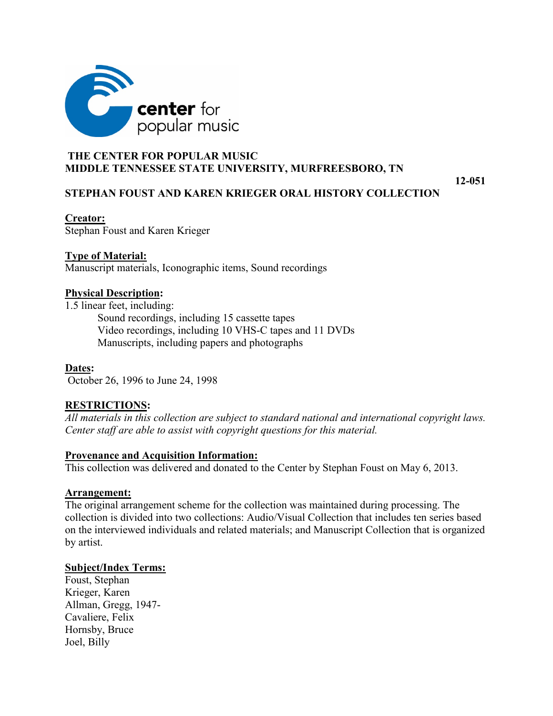

## **THE CENTER FOR POPULAR MUSIC MIDDLE TENNESSEE STATE UNIVERSITY, MURFREESBORO, TN**

**12-051**

## **STEPHAN FOUST AND KAREN KRIEGER ORAL HISTORY COLLECTION**

#### **Creator:**

Stephan Foust and Karen Krieger

## **Type of Material:**

Manuscript materials, Iconographic items, Sound recordings

## **Physical Description:**

1.5 linear feet, including: Sound recordings, including 15 cassette tapes Video recordings, including 10 VHS-C tapes and 11 DVDs Manuscripts, including papers and photographs

**Dates:** October 26, 1996 to June 24, 1998

# **RESTRICTIONS:**

*All materials in this collection are subject to standard national and international copyright laws. Center staff are able to assist with copyright questions for this material.*

## **Provenance and Acquisition Information:**

This collection was delivered and donated to the Center by Stephan Foust on May 6, 2013.

## **Arrangement:**

The original arrangement scheme for the collection was maintained during processing. The collection is divided into two collections: Audio/Visual Collection that includes ten series based on the interviewed individuals and related materials; and Manuscript Collection that is organized by artist.

## **Subject/Index Terms:**

Foust, Stephan Krieger, Karen Allman, Gregg, 1947- Cavaliere, Felix Hornsby, Bruce Joel, Billy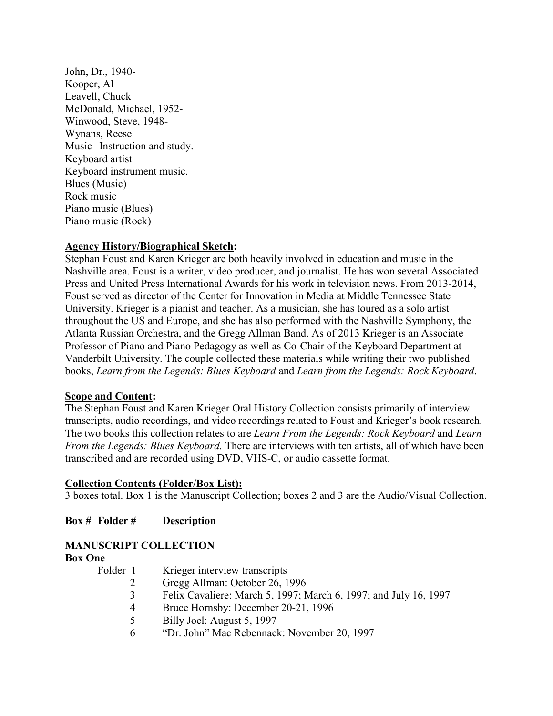John, Dr., 1940- Kooper, Al Leavell, Chuck McDonald, Michael, 1952- Winwood, Steve, 1948- Wynans, Reese Music--Instruction and study. Keyboard artist Keyboard instrument music. Blues (Music) Rock music Piano music (Blues) Piano music (Rock)

## **Agency History/Biographical Sketch:**

Stephan Foust and Karen Krieger are both heavily involved in education and music in the Nashville area. Foust is a writer, video producer, and journalist. He has won several Associated Press and United Press International Awards for his work in television news. From 2013-2014, Foust served as director of the Center for Innovation in Media at Middle Tennessee State University. Krieger is a pianist and teacher. As a musician, she has toured as a solo artist throughout the US and Europe, and she has also performed with the Nashville Symphony, the Atlanta Russian Orchestra, and the Gregg Allman Band. As of 2013 Krieger is an Associate Professor of Piano and Piano Pedagogy as well as Co-Chair of the Keyboard Department at Vanderbilt University. The couple collected these materials while writing their two published books, *Learn from the Legends: Blues Keyboard* and *Learn from the Legends: Rock Keyboard*.

#### **Scope and Content:**

The Stephan Foust and Karen Krieger Oral History Collection consists primarily of interview transcripts, audio recordings, and video recordings related to Foust and Krieger's book research. The two books this collection relates to are *Learn From the Legends: Rock Keyboard* and *Learn From the Legends: Blues Keyboard.* There are interviews with ten artists, all of which have been transcribed and are recorded using DVD, VHS-C, or audio cassette format.

#### **Collection Contents (Folder/Box List):**

3 boxes total. Box 1 is the Manuscript Collection; boxes 2 and 3 are the Audio/Visual Collection.

**Box # Folder # Description**

## **MANUSCRIPT COLLECTION**

#### **Box One**

| Folder 1 |  | Krieger interview transcripts |  |   |  |
|----------|--|-------------------------------|--|---|--|
|          |  |                               |  | . |  |

- 2 Gregg Allman: October 26, 1996
- 3 Felix Cavaliere: March 5, 1997; March 6, 1997; and July 16, 1997
- 4 Bruce Hornsby: December 20-21, 1996
- 5 Billy Joel: August 5, 1997
- 6 "Dr. John" Mac Rebennack: November 20, 1997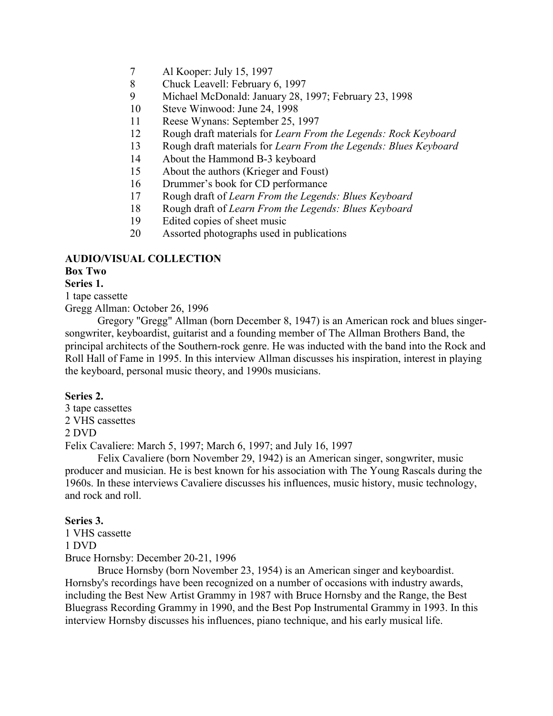- 7 Al Kooper: July 15, 1997
- 8 Chuck Leavell: February 6, 1997
- 9 Michael McDonald: January 28, 1997; February 23, 1998
- 10 Steve Winwood: June 24, 1998
- 11 Reese Wynans: September 25, 1997
- 12 Rough draft materials for *Learn From the Legends: Rock Keyboard*
- 13 Rough draft materials for *Learn From the Legends: Blues Keyboard*
- 14 About the Hammond B-3 keyboard
- 15 About the authors (Krieger and Foust)
- 16 Drummer's book for CD performance
- 17 Rough draft of *Learn From the Legends: Blues Keyboard*
- 18 Rough draft of *Learn From the Legends: Blues Keyboard*
- 19 Edited copies of sheet music
- 20 Assorted photographs used in publications

# **AUDIO/VISUAL COLLECTION**

## **Box Two**

#### **Series 1.**

1 tape cassette

Gregg Allman: October 26, 1996

Gregory "Gregg" Allman (born December 8, 1947) is an American rock and blues singersongwriter, keyboardist, guitarist and a founding member of The Allman Brothers Band, the principal architects of the Southern-rock genre. He was inducted with the band into the Rock and Roll Hall of Fame in 1995. In this interview Allman discusses his inspiration, interest in playing the keyboard, personal music theory, and 1990s musicians.

#### **Series 2.**

3 tape cassettes 2 VHS cassettes

#### 2 DVD

Felix Cavaliere: March 5, 1997; March 6, 1997; and July 16, 1997

Felix Cavaliere (born November 29, 1942) is an American singer, songwriter, music producer and musician. He is best known for his association with The Young Rascals during the 1960s. In these interviews Cavaliere discusses his influences, music history, music technology, and rock and roll.

#### **Series 3.**

1 VHS cassette 1 DVD Bruce Hornsby: December 20-21, 1996

Bruce Hornsby (born November 23, 1954) is an American singer and keyboardist. Hornsby's recordings have been recognized on a number of occasions with industry awards, including the Best New Artist Grammy in 1987 with Bruce Hornsby and the Range, the Best Bluegrass Recording Grammy in 1990, and the Best Pop Instrumental Grammy in 1993. In this interview Hornsby discusses his influences, piano technique, and his early musical life.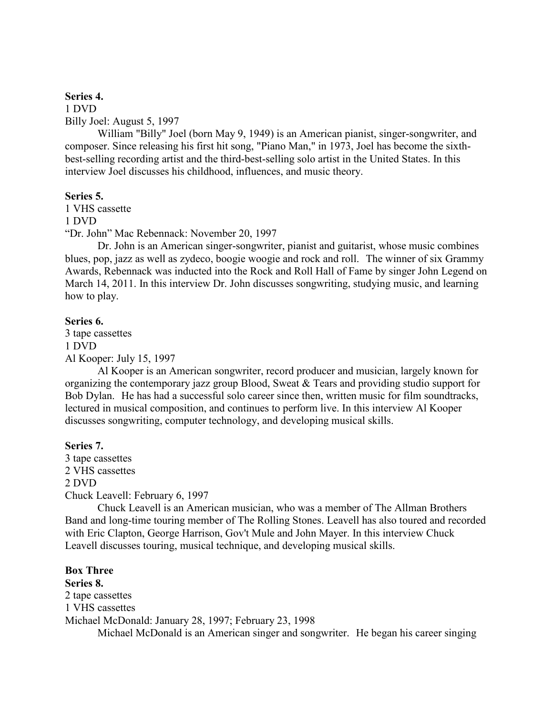#### **Series 4.**

1 DVD Billy Joel: August 5, 1997

William "Billy" Joel (born May 9, 1949) is an American pianist, singer-songwriter, and composer. Since releasing his first hit song, "Piano Man," in 1973, Joel has become the sixthbest-selling recording artist and the third-best-selling solo artist in the United States. In this interview Joel discusses his childhood, influences, and music theory.

#### **Series 5.**

1 VHS cassette 1 DVD "Dr. John" Mac Rebennack: November 20, 1997

Dr. John is an American singer-songwriter, pianist and guitarist, whose music combines blues, pop, jazz as well as zydeco, boogie woogie and rock and roll. The winner of six Grammy Awards, Rebennack was inducted into the Rock and Roll Hall of Fame by singer John Legend on March 14, 2011. In this interview Dr. John discusses songwriting, studying music, and learning how to play.

#### **Series 6.**

3 tape cassettes 1 DVD Al Kooper: July 15, 1997

Al Kooper is an American songwriter, record producer and musician, largely known for organizing the contemporary jazz group Blood, Sweat & Tears and providing studio support for Bob Dylan. He has had a successful solo career since then, written music for film soundtracks, lectured in musical composition, and continues to perform live. In this interview Al Kooper discusses songwriting, computer technology, and developing musical skills.

#### **Series 7.**

3 tape cassettes 2 VHS cassettes 2 DVD Chuck Leavell: February 6, 1997

Chuck Leavell is an American musician, who was a member of The Allman Brothers Band and long-time touring member of The Rolling Stones. Leavell has also toured and recorded with Eric Clapton, George Harrison, Gov't Mule and John Mayer. In this interview Chuck Leavell discusses touring, musical technique, and developing musical skills.

**Box Three Series 8.**  2 tape cassettes 1 VHS cassettes Michael McDonald: January 28, 1997; February 23, 1998 Michael McDonald is an American singer and songwriter. He began his career singing